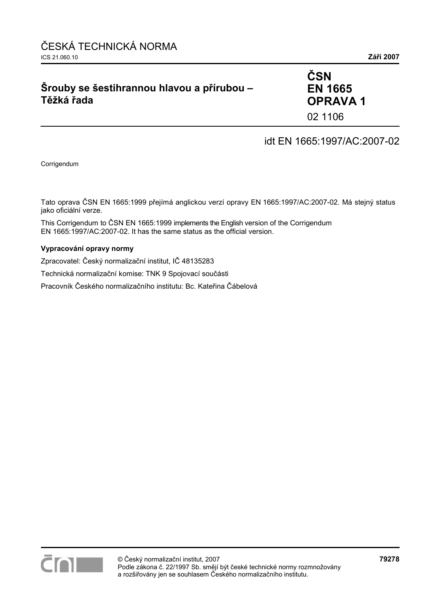# **Šrouby se šestihrannou hlavou a přírubou – Těžká řada**

# **ČSN EN 1665 OPRAVA 1**  02 1106

## idt EN 1665:1997/AC:2007-02

Corrigendum

Tato oprava ČSN EN 1665:1999 přejímá anglickou verzí opravy EN 1665:1997/AC:2007-02. Má stejný status jako oficiální verze.

This Corrigendum to ČSN EN 1665:1999 implements the English version of the Corrigendum EN 1665:1997/AC:2007-02. It has the same status as the official version.

#### **Vypracování opravy normy**

Zpracovatel: Český normalizační institut, IČ 48135283

Technická normalizační komise: TNK 9 Spojovací součásti

Pracovník Českého normalizačního institutu: Bc. Kateřina Čábelová

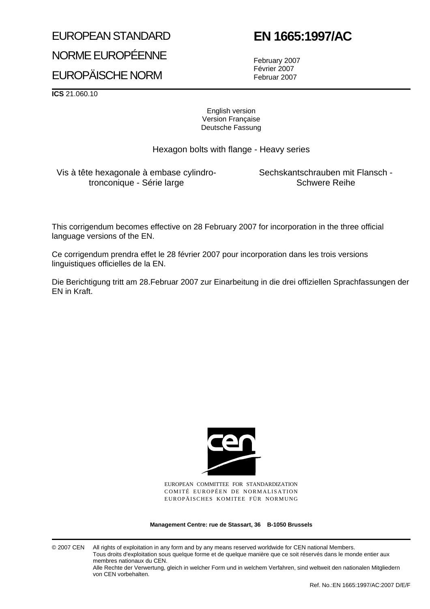# EUROPEAN STANDARD NORME EUROPÉENNE EUROPÄISCHE NORM

# **EN 1665:1997/AC**

February 2007 Février 2007 Februar 2007

**ICS** 21.060.10

English version Version Française Deutsche Fassung

Hexagon bolts with flange - Heavy series

Vis à tête hexagonale à embase cylindrotronconique - Série large

Sechskantschrauben mit Flansch - Schwere Reihe

This corrigendum becomes effective on 28 February 2007 for incorporation in the three official language versions of the EN.

Ce corrigendum prendra effet le 28 février 2007 pour incorporation dans les trois versions linguistiques officielles de la EN.

Die Berichtigung tritt am 28.Februar 2007 zur Einarbeitung in die drei offiziellen Sprachfassungen der EN in Kraft.



EUROPEAN COMMITTEE FOR STANDARDIZATION COMITÉ EUROPÉEN DE NORMALISATION EUROPÄISCHES KOMITEE FÜR NORMUNG

**Management Centre: rue de Stassart, 36 B-1050 Brussels**

© 2007 CEN All rights of exploitation in any form and by any means reserved worldwide for CEN national Members. Tous droits d'exploitation sous quelque forme et de quelque manière que ce soit réservés dans le monde entier aux membres nationaux du CEN.

Alle Rechte der Verwertung, gleich in welcher Form und in welchem Verfahren, sind weltweit den nationalen Mitgliedern von CEN vorbehalten.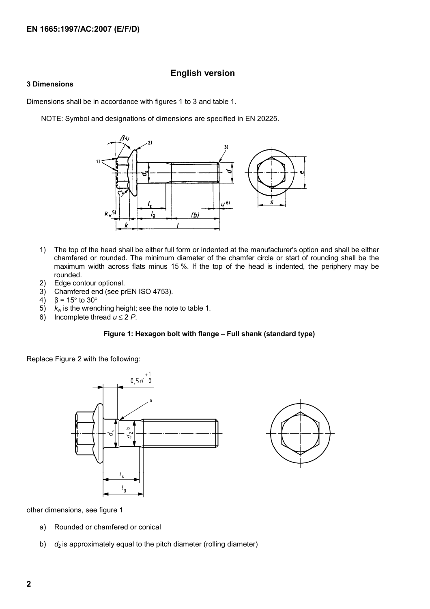## **English version**

## **3 Dimensions**

Dimensions shall be in accordance with figures 1 to 3 and table 1.

NOTE: Symbol and designations of dimensions are specified in EN 20225.



- 1) The top of the head shall be either full form or indented at the manufacturer's option and shall be either chamfered or rounded. The minimum diameter of the chamfer circle or start of rounding shall be the maximum width across flats minus 15 %. If the top of the head is indented, the periphery may be rounded.
- 2) Edge contour optional.
- 3) Chamfered end (see prEN ISO 4753).
- 4)  $β = 15°$  to 30°
- $5$ )  $k_w$  is the wrenching height; see the note to table 1.
- 6) Incomplete thread  $u \le 2 P$ .

#### **Figure 1: Hexagon bolt with flange – Full shank (standard type)**

Replace Figure 2 with the following:





other dimensions, see figure 1

- a) Rounded or chamfered or conical
- b)  $d_2$  is approximately equal to the pitch diameter (rolling diameter)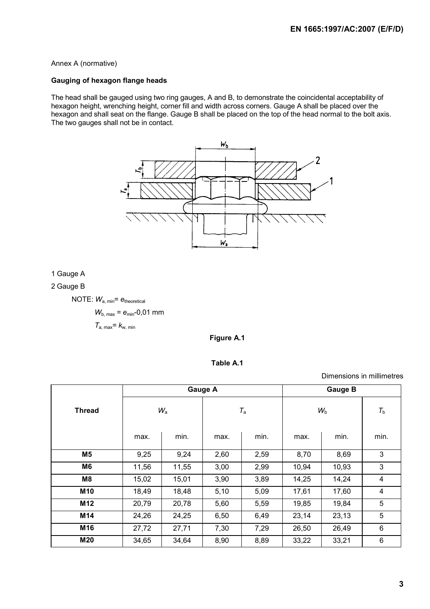### Annex A (normative)

## **Gauging of hexagon flange heads**

The head shall be gauged using two ring gauges, A and B, to demonstrate the coincidental acceptability of hexagon height, wrenching height, corner fill and width across corners. Gauge A shall be placed over the hexagon and shall seat on the flange. Gauge B shall be placed on the top of the head normal to the bolt axis. The two gauges shall not be in contact.



1 Gauge A

2 Gauge B

NOTE: *W*a, min= *e*theoretical

 $W_{b. max} = e_{min} - 0.01$  mm  $T_{\text{a, max}} = k_{\text{w, min}}$ 

## **Figure A.1**

|  | Table A.1 |  |
|--|-----------|--|
|  |           |  |

#### Dimensions in millimetres

|                | <b>Gauge A</b> |       |             |      | <b>Gauge B</b> |       |             |  |
|----------------|----------------|-------|-------------|------|----------------|-------|-------------|--|
| <b>Thread</b>  | $W_{\rm a}$    |       | $T_{\rm a}$ |      | $W_{\rm b}$    |       | $T_{\rm b}$ |  |
|                | max.           | min.  | max.        | min. | max.           | min.  | min.        |  |
| M <sub>5</sub> | 9,25           | 9,24  | 2,60        | 2,59 | 8,70           | 8,69  | 3           |  |
| M <sub>6</sub> | 11,56          | 11,55 | 3,00        | 2,99 | 10,94          | 10,93 | 3           |  |
| M <sub>8</sub> | 15,02          | 15,01 | 3,90        | 3,89 | 14,25          | 14,24 | 4           |  |
| M10            | 18,49          | 18,48 | 5,10        | 5,09 | 17,61          | 17,60 | 4           |  |
| M12            | 20,79          | 20,78 | 5,60        | 5,59 | 19,85          | 19,84 | 5           |  |
| M14            | 24,26          | 24,25 | 6,50        | 6,49 | 23,14          | 23,13 | 5           |  |
| M16            | 27,72          | 27,71 | 7,30        | 7,29 | 26,50          | 26,49 | 6           |  |
| M20            | 34,65          | 34,64 | 8,90        | 8,89 | 33,22          | 33,21 | 6           |  |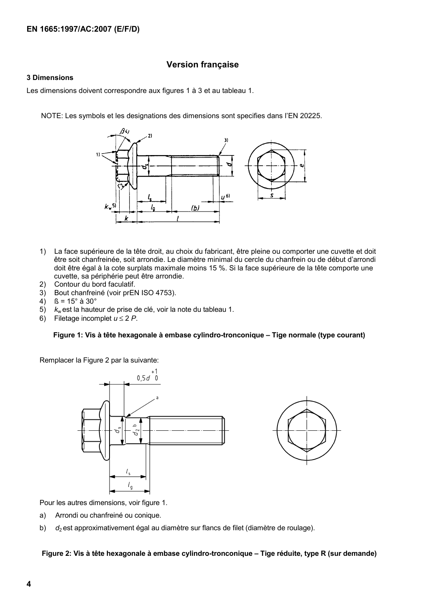## **Version française**

#### **3 Dimensions**

Les dimensions doivent correspondre aux figures 1 à 3 et au tableau 1.

NOTE: Les symbols et les designations des dimensions sont specifies dans l'EN 20225.



- 1) La face supérieure de la tête droit, au choix du fabricant, être pleine ou comporter une cuvette et doit être soit chanfreinée, soit arrondie. Le diamètre minimal du cercle du chanfrein ou de début d'arrondi doit être égal à la cote surplats maximale moins 15 %. Si la face supérieure de la tête comporte une cuvette, sa périphérie peut être arrondie.
- 2) Contour du bord faculatif.
- 3) Bout chanfreiné (voir prEN ISO 4753).
- 4)  $S = 15^\circ \text{ à } 30^\circ$
- 5) *k*w est la hauteur de prise de clé, voir la note du tableau 1.
- 6) Filetage incomplet  $u \le 2$  *P*.

#### **Figure 1: Vis à tête hexagonale à embase cylindro-tronconique – Tige normale (type courant)**

Remplacer la Figure 2 par la suivante:





Pour les autres dimensions, voir figure 1.

- a) Arrondi ou chanfreiné ou conique.
- b) *d*2 est approximativement égal au diamètre sur flancs de filet (diamètre de roulage).

#### **Figure 2: Vis à tête hexagonale à embase cylindro-tronconique – Tige réduite, type R (sur demande)**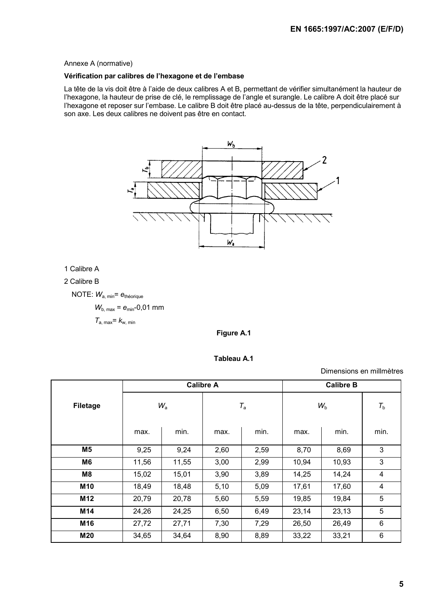#### Annexe A (normative)

## **Vérification par calibres de l'hexagone et de l'embase**

La tête de la vis doit être à l'aide de deux calibres A et B, permettant de vérifier simultanément la hauteur de l'hexagone, la hauteur de prise de clé, le remplissage de l'angle et surangle. Le calibre A doit être placé sur l'hexagone et reposer sur l'embase. Le calibre B doit être placé au-dessus de la tête, perpendiculairement à son axe. Les deux calibres ne doivent pas être en contact.



1 Calibre A

2 Calibre B

NOTE: *W*a, min= *e*théorique

 $W_{\text{b. max}} = e_{\text{min}} - 0.01 \text{ mm}$ 

 $T_{\text{a, max}} = k_{\text{w, min}}$ 

**Figure A.1** 

Dimensions en millmètres

|                 | <b>Calibre A</b> |       |             |      | <b>Calibre B</b> |       |         |  |
|-----------------|------------------|-------|-------------|------|------------------|-------|---------|--|
| <b>Filetage</b> | $W_{\rm a}$      |       | $T_{\rm a}$ |      | $W_{\rm b}$      |       | $T_{b}$ |  |
|                 | max.             | min.  | max.        | min. | max.             | min.  | min.    |  |
| M <sub>5</sub>  | 9,25             | 9,24  | 2,60        | 2,59 | 8,70             | 8,69  | 3       |  |
| M6              | 11,56            | 11,55 | 3,00        | 2,99 | 10,94            | 10,93 | 3       |  |
| M <sub>8</sub>  | 15,02            | 15,01 | 3,90        | 3,89 | 14,25            | 14,24 | 4       |  |
| M10             | 18,49            | 18,48 | 5,10        | 5,09 | 17,61            | 17,60 | 4       |  |
| M12             | 20,79            | 20,78 | 5,60        | 5,59 | 19,85            | 19,84 | 5       |  |
| M14             | 24,26            | 24,25 | 6,50        | 6,49 | 23,14            | 23,13 | 5       |  |
| M16             | 27,72            | 27,71 | 7,30        | 7,29 | 26,50            | 26,49 | 6       |  |
| M20             | 34,65            | 34,64 | 8,90        | 8,89 | 33,22            | 33,21 | $\,6$   |  |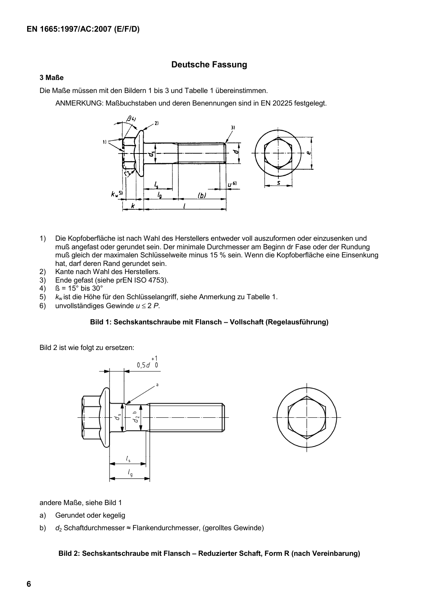## **Deutsche Fassung**

#### **3 Maße**

Die Maße müssen mit den Bildern 1 bis 3 und Tabelle 1 übereinstimmen.

ANMERKUNG: Maßbuchstaben und deren Benennungen sind in EN 20225 festgelegt.



- 1) Die Kopfoberfläche ist nach Wahl des Herstellers entweder voll auszuformen oder einzusenken und muß angefast oder gerundet sein. Der minimale Durchmesser am Beginn dr Fase oder der Rundung muß gleich der maximalen Schlüsselweite minus 15 % sein. Wenn die Kopfoberfläche eine Einsenkung hat, darf deren Rand gerundet sein.
- 2) Kante nach Wahl des Herstellers.
- 3) Ende gefast (siehe prEN ISO 4753).
- 4)  $\beta = 15^\circ$  bis 30°
- 5) *k*w ist die Höhe für den Schlüsselangriff, siehe Anmerkung zu Tabelle 1.
- 6) unvollständiges Gewinde *u* ≤ 2 *P*.

#### **Bild 1: Sechskantschraube mit Flansch – Vollschaft (Regelausführung)**

Bild 2 ist wie folgt zu ersetzen:





andere Maße, siehe Bild 1

- a) Gerundet oder kegelig
- b) *d*2 Schaftdurchmesser ≈ Flankendurchmesser, (gerolltes Gewinde)

#### **Bild 2: Sechskantschraube mit Flansch – Reduzierter Schaft, Form R (nach Vereinbarung)**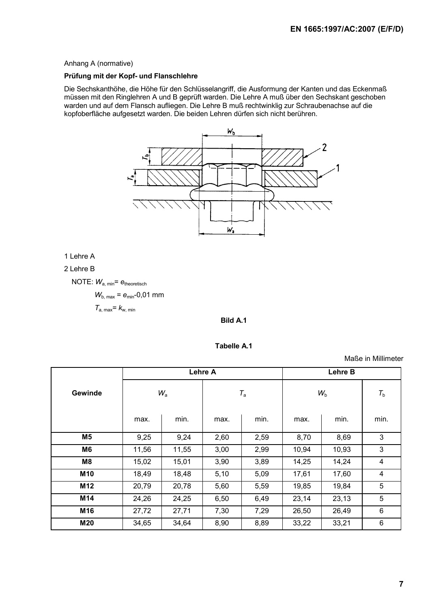#### Anhang A (normative)

## **Prüfung mit der Kopf- und Flanschlehre**

Die Sechskanthöhe, die Höhe für den Schlüsselangriff, die Ausformung der Kanten und das Eckenmaß müssen mit den Ringlehren A und B geprüft warden. Die Lehre A muß über den Sechskant geschoben warden und auf dem Flansch aufliegen. Die Lehre B muß rechtwinklig zur Schraubenachse auf die kopfoberfläche aufgesetzt warden. Die beiden Lehren dürfen sich nicht berühren.



1 Lehre A

2 Lehre B

NOTE: *W*a, min= *e*theoretisch

*W*<sub>b, max</sub> =  $e_{min}$ -0,01 mm

 $T_{\text{a. max}} = k_{\text{w. min}}$ 

## **Bild A.1**

#### **Tabelle A.1**

Maße in Millimeter

|                | Lehre A     |       |             |      | Lehre B     |       |             |  |
|----------------|-------------|-------|-------------|------|-------------|-------|-------------|--|
| Gewinde        | $W_{\rm a}$ |       | $T_{\rm a}$ |      | $W_{\rm b}$ |       | $T_{\rm b}$ |  |
|                | max.        | min.  | max.        | min. | max.        | min.  | min.        |  |
| M <sub>5</sub> | 9,25        | 9,24  | 2,60        | 2,59 | 8,70        | 8,69  | 3           |  |
| M6             | 11,56       | 11,55 | 3,00        | 2,99 | 10,94       | 10,93 | 3           |  |
| M <sub>8</sub> | 15,02       | 15,01 | 3,90        | 3,89 | 14,25       | 14,24 | 4           |  |
| M10            | 18,49       | 18,48 | 5,10        | 5,09 | 17,61       | 17,60 | 4           |  |
| M12            | 20,79       | 20,78 | 5,60        | 5,59 | 19,85       | 19,84 | 5           |  |
| M14            | 24,26       | 24,25 | 6,50        | 6,49 | 23,14       | 23,13 | 5           |  |
| M16            | 27,72       | 27,71 | 7,30        | 7,29 | 26,50       | 26,49 | 6           |  |
| M20            | 34,65       | 34,64 | 8,90        | 8,89 | 33,22       | 33,21 | 6           |  |